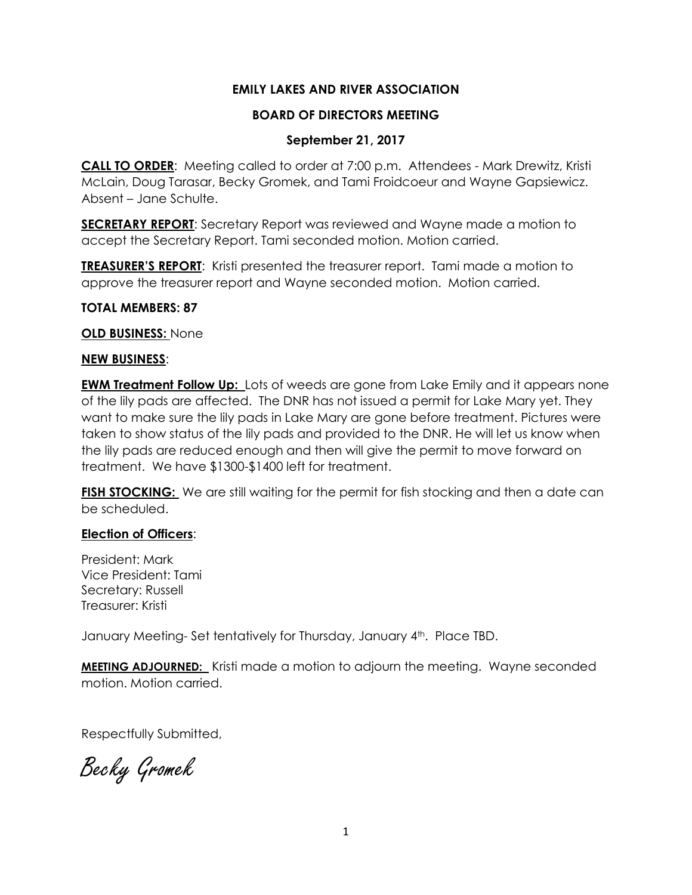## **EMILY LAKES AND RIVER ASSOCIATION**

## **BOARD OF DIRECTORS MEETING**

## **September 21, 2017**

**CALL TO ORDER**: Meeting called to order at 7:00 p.m. Attendees - Mark Drewitz, Kristi McLain, Doug Tarasar, Becky Gromek, and Tami Froidcoeur and Wayne Gapsiewicz. Absent – Jane Schulte.

**SECRETARY REPORT**: Secretary Report was reviewed and Wayne made a motion to accept the Secretary Report. Tami seconded motion. Motion carried.

**TREASURER'S REPORT**: Kristi presented the treasurer report. Tami made a motion to approve the treasurer report and Wayne seconded motion. Motion carried.

#### **TOTAL MEMBERS: 87**

#### **OLD BUSINESS:** None

## **NEW BUSINESS**:

**EWM Treatment Follow Up:** Lots of weeds are gone from Lake Emily and it appears none of the lily pads are affected. The DNR has not issued a permit for Lake Mary yet. They want to make sure the lily pads in Lake Mary are gone before treatment. Pictures were taken to show status of the lily pads and provided to the DNR. He will let us know when the lily pads are reduced enough and then will give the permit to move forward on treatment. We have \$1300-\$1400 left for treatment.

FISH STOCKING: We are still waiting for the permit for fish stocking and then a date can be scheduled.

## **Election of Officers**:

President: Mark Vice President: Tami Secretary: Russell Treasurer: Kristi

January Meeting-Set tentatively for Thursday, January 4<sup>th</sup>. Place TBD.

**MEETING ADJOURNED:** Kristi made a motion to adjourn the meeting. Wayne seconded motion. Motion carried.

Respectfully Submitted,

Becky Gromek